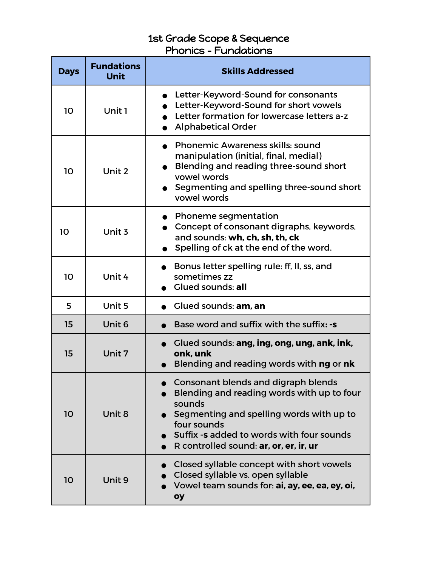## 1st Grade Scope & Sequence Phonics – Fundations

| <b>Days</b> | <b>Fundations</b><br><b>Unit</b> | <b>Skills Addressed</b>                                                                                                                                                                                                                              |
|-------------|----------------------------------|------------------------------------------------------------------------------------------------------------------------------------------------------------------------------------------------------------------------------------------------------|
| 10          | Unit 1                           | Letter-Keyword-Sound for consonants<br>Letter-Keyword-Sound for short vowels<br>Letter formation for lowercase letters a-z<br><b>Alphabetical Order</b>                                                                                              |
| 10          | Unit 2                           | <b>Phonemic Awareness skills: sound</b><br>manipulation (initial, final, medial)<br>Blending and reading three-sound short<br>vowel words<br>Segmenting and spelling three-sound short<br>vowel words                                                |
| 10          | Unit 3                           | • Phoneme segmentation<br>Concept of consonant digraphs, keywords,<br>and sounds: wh, ch, sh, th, ck<br>Spelling of ck at the end of the word.                                                                                                       |
| 10          | Unit 4                           | Bonus letter spelling rule: ff, II, ss, and<br>sometimes zz<br><b>Glued sounds: all</b>                                                                                                                                                              |
| 5           | Unit 5                           | Glued sounds: am, an                                                                                                                                                                                                                                 |
| 15          | Unit 6                           | Base word and suffix with the suffix: -s                                                                                                                                                                                                             |
| 15          | Unit 7                           | Glued sounds: ang, ing, ong, ung, ank, ink,<br>onk. unk<br>Blending and reading words with ng or nk                                                                                                                                                  |
| 10          | Unit 8                           | <b>Consonant blends and digraph blends</b><br>Blending and reading words with up to four<br>sounds<br>Segmenting and spelling words with up to<br>four sounds<br>Suffix -s added to words with four sounds<br>R controlled sound: ar, or, er, ir, ur |
| 10          | Unit 9                           | Closed syllable concept with short vowels<br>Closed syllable vs. open syllable<br>Vowel team sounds for: ai, ay, ee, ea, ey, oi,<br>oy                                                                                                               |